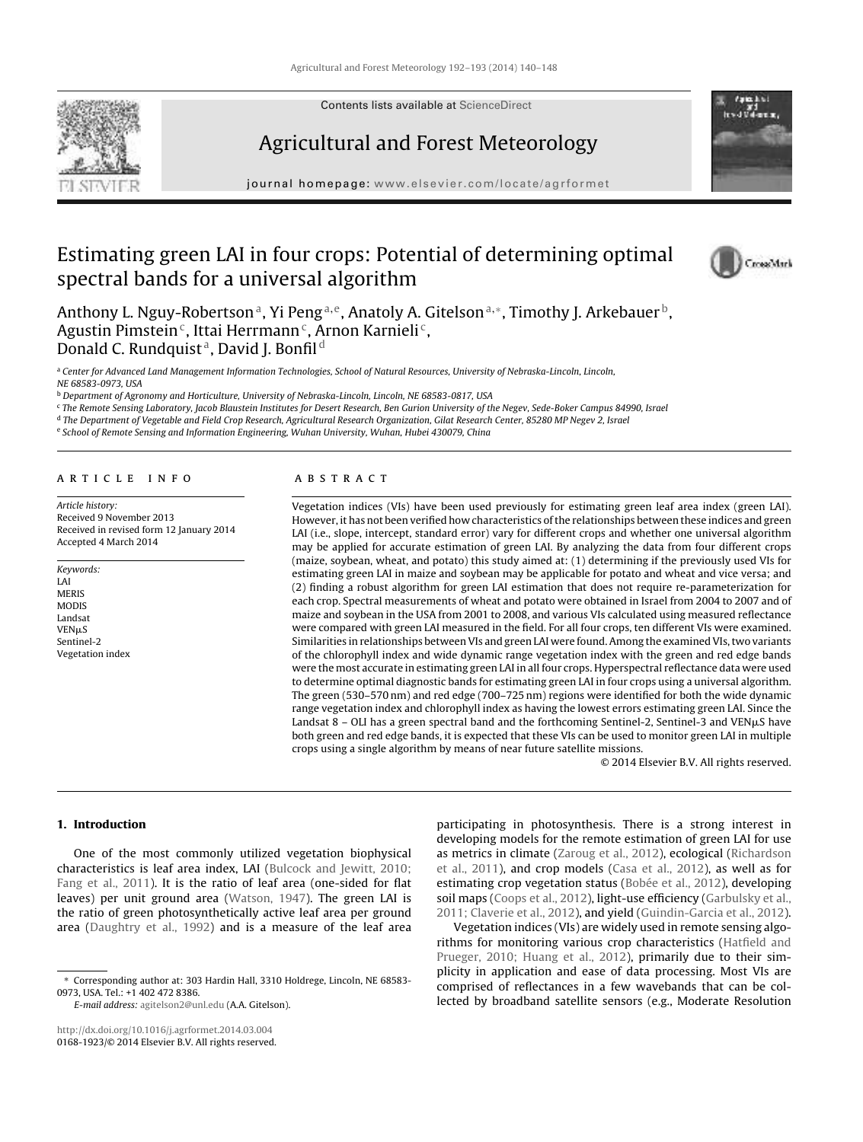

Contents lists available at [ScienceDirect](http://www.sciencedirect.com/science/journal/01681923)

# Agricultural and Forest Meteorology

journal homepage: [www.elsevier.com/locate/agrformet](http://www.elsevier.com/locate/agrformet)

# Estimating green LAI in four crops: Potential of determining optimal spectral bands for a universal algorithm



Anthony L. Nguy-Robertson<sup>a</sup>, Yi Peng<sup>a,e</sup>, Anatoly A. Gitelson<sup>a,</sup>\*, Timothy J. Arkebauer<sup>b</sup>, Agustin Pimstein $\mathfrak{c}$ , Ittai Herrmann $\mathfrak{c}$ , Arnon Karnieli $\mathfrak{c}$ , Donald C. Rundquist<sup>a</sup>, David J. Bonfil<sup>d</sup>

a Center for Advanced Land Management Information Technologies, School of Natural Resources, University of Nebraska-Lincoln, Lincoln, NE 68583-0973, USA

<sup>b</sup> Department of Agronomy and Horticulture, University of Nebraska-Lincoln, Lincoln, NE 68583-0817, USA

<sup>c</sup> The Remote Sensing Laboratory, Jacob Blaustein Institutes for Desert Research, Ben Gurion University of the Negev, Sede-Boker Campus 84990, Israel

<sup>d</sup> The Department of Vegetable and Field Crop Research, Agricultural Research Organization, Gilat Research Center, 85280 MP Negev 2, Israel

<sup>e</sup> School of Remote Sensing and Information Engineering, Wuhan University, Wuhan, Hubei 430079, China

## a r t i c l e i n f o

Article history: Received 9 November 2013 Received in revised form 12 January 2014 Accepted 4 March 2014

#### Keywords: LAI MERIS MODIS Landsat VENµS Sentinel-2 Vegetation index

# A B S T R A C T

Vegetation indices (VIs) have been used previously for estimating green leaf area index (green LAI). However, it has not been verified how characteristics ofthe relationships between these indices and green LAI (i.e., slope, intercept, standard error) vary for different crops and whether one universal algorithm may be applied for accurate estimation of green LAI. By analyzing the data from four different crops (maize, soybean, wheat, and potato) this study aimed at: (1) determining if the previously used VIs for estimating green LAI in maize and soybean may be applicable for potato and wheat and vice versa; and (2) finding a robust algorithm for green LAI estimation that does not require re-parameterization for each crop. Spectral measurements of wheat and potato were obtained in Israel from 2004 to 2007 and of maize and soybean in the USA from 2001 to 2008, and various VIs calculated using measured reflectance were compared with green LAI measured in the field. For all four crops, ten different VIs were examined. Similarities in relationships between VIs and green LAI were found. Among the examined VIs, two variants of the chlorophyll index and wide dynamic range vegetation index with the green and red edge bands were the most accurate in estimating green LAI in all four crops. Hyperspectral reflectance data were used to determine optimal diagnostic bands for estimating green LAI in four crops using a universal algorithm. The green (530–570 nm) and red edge (700–725 nm) regions were identified for both the wide dynamic range vegetation index and chlorophyll index as having the lowest errors estimating green LAI. Since the Landsat 8 – OLI has a green spectral band and the forthcoming Sentinel-2, Sentinel-3 and VENµS have both green and red edge bands, it is expected that these VIs can be used to monitor green LAI in multiple crops using a single algorithm by means of near future satellite missions.

© 2014 Elsevier B.V. All rights reserved.

## 1. Introduction

One of the most commonly utilized vegetation biophysical characteristics is leaf area index, LAI ([Bulcock](#page-7-0) [and](#page-7-0) [Jewitt,](#page-7-0) [2010;](#page-7-0) [Fang](#page-7-0) et [al.,](#page-7-0) [2011\).](#page-7-0) It is the ratio of leaf area (one-sided for flat leaves) per unit ground area ([Watson,](#page-8-0) [1947\).](#page-8-0) The green LAI is the ratio of green photosynthetically active leaf area per ground area [\(Daughtry](#page-7-0) et [al.,](#page-7-0) [1992\)](#page-7-0) and is a measure of the leaf area

E-mail address: [agitelson2@unl.edu](mailto:agitelson2@unl.edu) (A.A. Gitelson).

[http://dx.doi.org/10.1016/j.agrformet.2014.03.004](dx.doi.org/10.1016/j.agrformet.2014.03.004) 0168-1923/© 2014 Elsevier B.V. All rights reserved. participating in photosynthesis. There is a strong interest in developing models for the remote estimation of green LAI for use as metrics in climate [\(Zaroug](#page-8-0) et [al.,](#page-8-0) [2012\),](#page-8-0) ecological [\(Richardson](#page-8-0) et [al.,](#page-8-0) [2011\),](#page-8-0) and crop models [\(Casa](#page-7-0) et [al.,](#page-7-0) [2012\),](#page-7-0) as well as for estimating crop vegetation status [\(Bobée](#page-7-0) et [al.,](#page-7-0) [2012\),](#page-7-0) developing soil maps [\(Coops](#page-7-0) et [al.,](#page-7-0) [2012\),](#page-7-0) light-use efficiency [\(Garbulsky](#page-7-0) et al., [2011;](#page-7-0) [Claverie](#page-7-0) et [al.,](#page-7-0) [2012\),](#page-7-0) and yield [\(Guindin-Garcia](#page-8-0) et [al.,](#page-8-0) [2012\).](#page-8-0)

Vegetation indices (VIs) are widely used in remote sensing algorithms for monitoring various crop characteristics ([Hatfield](#page-8-0) [and](#page-8-0) [Prueger,](#page-8-0) [2010;](#page-8-0) [Huang](#page-8-0) et [al.,](#page-8-0) [2012\),](#page-8-0) primarily due to their simplicity in application and ease of data processing. Most VIs are comprised of reflectances in a few wavebands that can be collected by broadband satellite sensors (e.g., Moderate Resolution

<sup>∗</sup> Corresponding author at: <sup>303</sup> Hardin Hall, <sup>3310</sup> Holdrege, Lincoln, NE 68583- 0973, USA. Tel.: +1 402 472 8386.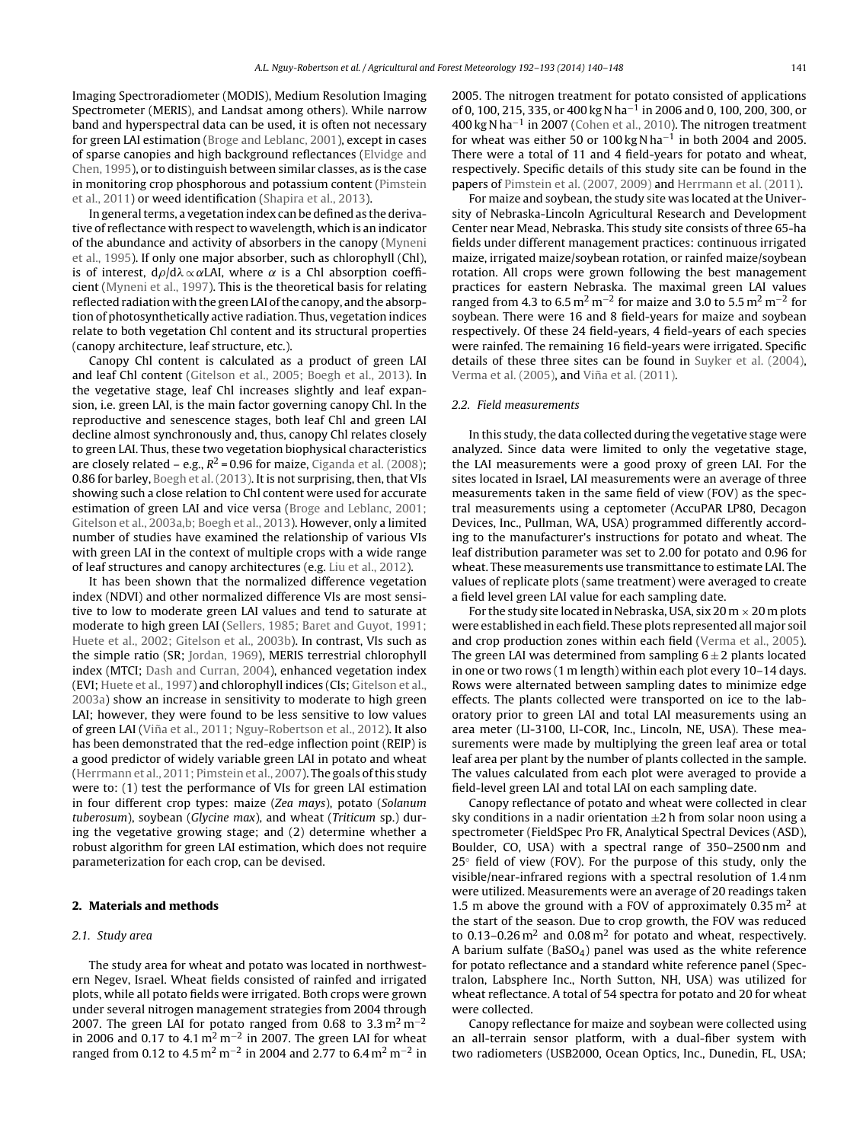Imaging Spectroradiometer (MODIS), Medium Resolution Imaging Spectrometer (MERIS), and Landsat among others). While narrow band and hyperspectral data can be used, it is often not necessary for green LAI estimation ([Broge](#page-7-0) [and](#page-7-0) [Leblanc,](#page-7-0) [2001\),](#page-7-0) except in cases of sparse canopies and high background reflectances ([Elvidge](#page-7-0) [and](#page-7-0) [Chen,](#page-7-0) [1995\),](#page-7-0) or to distinguish between similar classes, as is the case in monitoring crop phosphorous and potassium content ([Pimstein](#page-8-0) et [al.,](#page-8-0) [2011\)](#page-8-0) or weed identification ([Shapira](#page-8-0) et [al.,](#page-8-0) [2013\).](#page-8-0)

In general terms, a vegetation index can be defined as the derivative of reflectance with respect to wavelength, which is an indicator of the abundance and activity of absorbers in the canopy [\(Myneni](#page-8-0) et [al.,](#page-8-0) [1995\).](#page-8-0) If only one major absorber, such as chlorophyll (Chl), is of interest,  $d\rho/d\lambda \propto \alpha LAI$ , where  $\alpha$  is a Chl absorption coefficient ([Myneni](#page-8-0) et [al.,](#page-8-0) [1997\).](#page-8-0) This is the theoretical basis for relating reflected radiation with the green LAI of the canopy, and the absorption of photosynthetically active radiation. Thus, vegetation indices relate to both vegetation Chl content and its structural properties (canopy architecture, leaf structure, etc.).

Canopy Chl content is calculated as a product of green LAI and leaf Chl content ([Gitelson](#page-8-0) et [al.,](#page-8-0) [2005;](#page-8-0) [Boegh](#page-8-0) et [al.,](#page-8-0) [2013\).](#page-8-0) In the vegetative stage, leaf Chl increases slightly and leaf expansion, i.e. green LAI, is the main factor governing canopy Chl. In the reproductive and senescence stages, both leaf Chl and green LAI decline almost synchronously and, thus, canopy Chl relates closely to green LAI. Thus, these two vegetation biophysical characteristics are closely related – e.g.,  $R^2$  = 0.96 for maize, [Ciganda](#page-7-0) et [al.](#page-7-0) [\(2008\);](#page-7-0) 0.86 for barley, [Boegh](#page-7-0) et al. (2013). It is not surprising, then, that VIs showing such a close relation to Chl content were used for accurate estimation of green LAI and vice versa ([Broge](#page-7-0) [and](#page-7-0) [Leblanc,](#page-7-0) [2001;](#page-7-0) [Gitelson](#page-7-0) et [al.,](#page-7-0) [2003a,b;](#page-7-0) [Boegh](#page-7-0) et [al.,](#page-7-0) [2013\).](#page-7-0) However, only a limited number of studies have examined the relationship of various VIs with green LAI in the context of multiple crops with a wide range of leaf structures and canopy architectures (e.g. [Liu](#page-8-0) et [al.,](#page-8-0) [2012\).](#page-8-0)

It has been shown that the normalized difference vegetation index (NDVI) and other normalized difference VIs are most sensitive to low to moderate green LAI values and tend to saturate at moderate to high green LAI [\(Sellers,](#page-8-0) [1985;](#page-8-0) [Baret](#page-8-0) [and](#page-8-0) [Guyot,](#page-8-0) [1991;](#page-8-0) [Huete](#page-8-0) et [al.,](#page-8-0) [2002;](#page-8-0) [Gitelson](#page-8-0) et [al.,](#page-8-0) [2003b\).](#page-8-0) In contrast, VIs such as the simple ratio (SR; [Jordan,](#page-8-0) [1969\),](#page-8-0) MERIS terrestrial chlorophyll index (MTCI; [Dash](#page-7-0) [and](#page-7-0) [Curran,](#page-7-0) [2004\),](#page-7-0) enhanced vegetation index (EVI; [Huete](#page-8-0) et [al.,](#page-8-0) [1997\)](#page-8-0) and chlorophyll indices (CIs; [Gitelson](#page-7-0) et [al.,](#page-7-0) [2003a\)](#page-7-0) show an increase in sensitivity to moderate to high green LAI; however, they were found to be less sensitive to low values of green LAI (Viña et [al.,](#page-8-0) [2011;](#page-8-0) [Nguy-Robertson](#page-8-0) et al., [2012\).](#page-8-0) It also has been demonstrated that the red-edge inflection point (REIP) is a good predictor of widely variable green LAI in potato and wheat ([Herrmann](#page-8-0) et [al.,](#page-8-0) [2011;](#page-8-0) [Pimstein](#page-8-0) et al., [2007\).](#page-8-0) The goals of this study were to: (1) test the performance of VIs for green LAI estimation in four different crop types: maize (Zea mays), potato (Solanum tuberosum), soybean (Glycine max), and wheat (Triticum sp.) during the vegetative growing stage; and (2) determine whether a robust algorithm for green LAI estimation, which does not require parameterization for each crop, can be devised.

## 2. Materials and methods

#### 2.1. Study area

The study area for wheat and potato was located in northwestern Negev, Israel. Wheat fields consisted of rainfed and irrigated plots, while all potato fields were irrigated. Both crops were grown under several nitrogen management strategies from 2004 through 2007. The green LAI for potato ranged from 0.68 to  $3.3 \text{ m}^2 \text{ m}^{-2}$ in 2006 and 0.17 to 4.1 m<sup>2</sup> m<sup>-2</sup> in 2007. The green LAI for wheat ranged from 0.12 to 4.5 m<sup>2</sup> m<sup>-2</sup> in 2004 and 2.77 to 6.4 m<sup>2</sup> m<sup>-2</sup> in

2005. The nitrogen treatment for potato consisted of applications of 0, 100, 215, 335, or 400 kg N ha−<sup>1</sup> in 2006 and 0, 100, 200, 300, or 400 kg N ha<sup>-1</sup> in 2007 ([Cohen](#page-7-0) et [al.,](#page-7-0) [2010\).](#page-7-0) The nitrogen treatment for wheat was either 50 or 100 kg N ha<sup>-1</sup> in both 2004 and 2005. There were a total of 11 and 4 field-years for potato and wheat, respectively. Specific details of this study site can be found in the papers of [Pimstein](#page-8-0) et [al.](#page-8-0) [\(2007,](#page-8-0) [2009\)](#page-8-0) and [Herrmann](#page-8-0) et [al.](#page-8-0) [\(2011\).](#page-8-0)

For maize and soybean, the study site was located at the University of Nebraska-Lincoln Agricultural Research and Development Center near Mead, Nebraska. This study site consists of three 65-ha fields under different management practices: continuous irrigated maize, irrigated maize/soybean rotation, or rainfed maize/soybean rotation. All crops were grown following the best management practices for eastern Nebraska. The maximal green LAI values ranged from 4.3 to 6.5 m<sup>2</sup> m<sup>-2</sup> for maize and 3.0 to 5.5 m<sup>2</sup> m<sup>-2</sup> for soybean. There were 16 and 8 field-years for maize and soybean respectively. Of these 24 field-years, 4 field-years of each species were rainfed. The remaining 16 field-years were irrigated. Specific details of these three sites can be found in [Suyker](#page-8-0) et [al.](#page-8-0) [\(2004\),](#page-8-0) [Verma](#page-8-0) et [al.](#page-8-0) [\(2005\),](#page-8-0) and Viña et al. [\(2011\).](#page-8-0)

### 2.2. Field measurements

In this study, the data collected during the vegetative stage were analyzed. Since data were limited to only the vegetative stage, the LAI measurements were a good proxy of green LAI. For the sites located in Israel, LAI measurements were an average of three measurements taken in the same field of view (FOV) as the spectral measurements using a ceptometer (AccuPAR LP80, Decagon Devices, Inc., Pullman, WA, USA) programmed differently according to the manufacturer's instructions for potato and wheat. The leaf distribution parameter was set to 2.00 for potato and 0.96 for wheat. These measurements use transmittance to estimate LAI. The values of replicate plots (same treatment) were averaged to create a field level green LAI value for each sampling date.

For the study site located in Nebraska, USA, six 20 m  $\times$  20 m plots were established in each field. These plots represented all major soil and crop production zones within each field ([Verma](#page-8-0) et [al.,](#page-8-0) [2005\).](#page-8-0) The green LAI was determined from sampling  $6 \pm 2$  plants located in one or two rows (1 m length) within each plot every 10–14 days. Rows were alternated between sampling dates to minimize edge effects. The plants collected were transported on ice to the laboratory prior to green LAI and total LAI measurements using an area meter (LI-3100, LI-COR, Inc., Lincoln, NE, USA). These measurements were made by multiplying the green leaf area or total leaf area per plant by the number of plants collected in the sample. The values calculated from each plot were averaged to provide a field-level green LAI and total LAI on each sampling date.

Canopy reflectance of potato and wheat were collected in clear sky conditions in a nadir orientation  $\pm 2$  h from solar noon using a spectrometer (FieldSpec Pro FR, Analytical Spectral Devices (ASD), Boulder, CO, USA) with a spectral range of 350–2500 nm and 25° field of view (FOV). For the purpose of this study, only the visible/near-infrared regions with a spectral resolution of 1.4 nm were utilized. Measurements were an average of 20 readings taken 1.5 m above the ground with a FOV of approximately 0.35  $m<sup>2</sup>$  at the start of the season. Due to crop growth, the FOV was reduced to 0.13–0.26  $\mathrm{m}^2$  and 0.08  $\mathrm{m}^2$  for potato and wheat, respectively. A barium sulfate ( $BaSO<sub>4</sub>$ ) panel was used as the white reference for potato reflectance and a standard white reference panel (Spectralon, Labsphere Inc., North Sutton, NH, USA) was utilized for wheat reflectance. A total of 54 spectra for potato and 20 for wheat were collected.

Canopy reflectance for maize and soybean were collected using an all-terrain sensor platform, with a dual-fiber system with two radiometers (USB2000, Ocean Optics, Inc., Dunedin, FL, USA;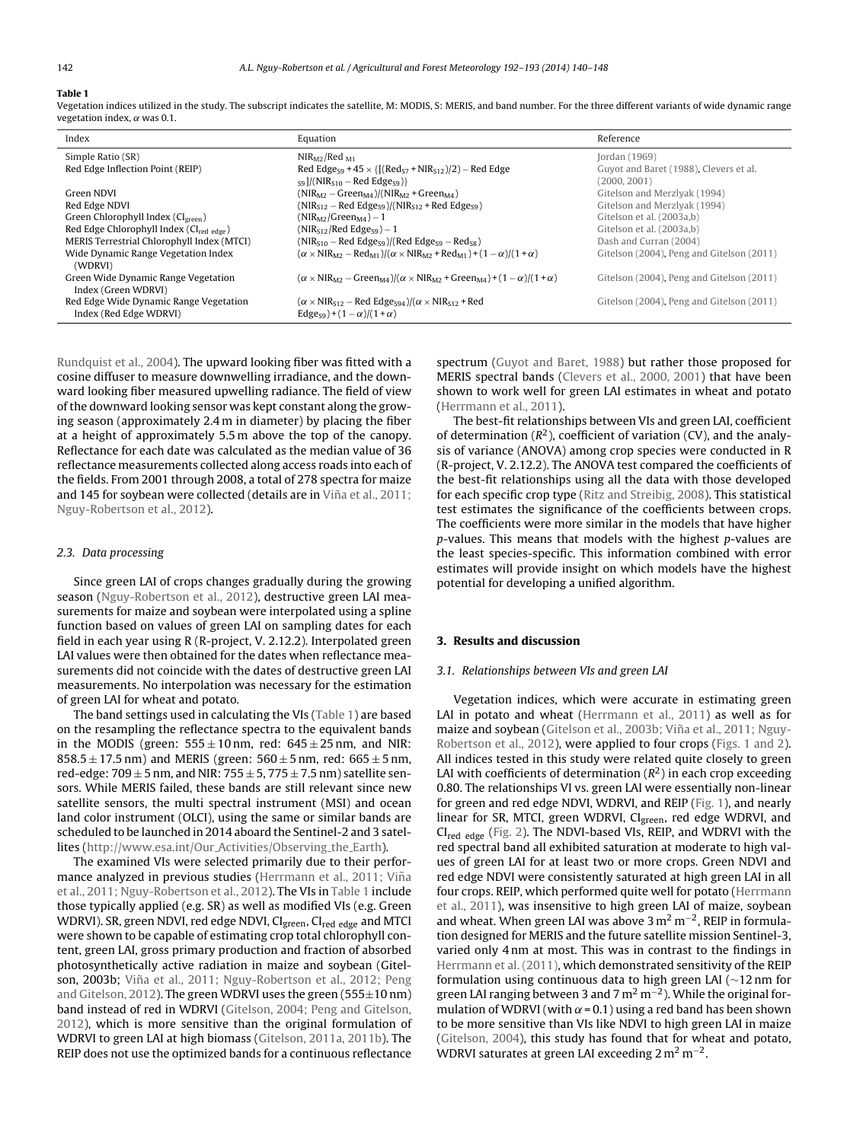# Table 1

Vegetation indices utilized in the study. The subscript indicates the satellite, M: MODIS, S: MERIS, and band number. For the three different variants of wide dynamic range vegetation index,  $\alpha$  was 0.1.

| Index                                                            | Equation                                                                                                                                                            | Reference                                 |
|------------------------------------------------------------------|---------------------------------------------------------------------------------------------------------------------------------------------------------------------|-------------------------------------------|
| Simple Ratio (SR)                                                | NIR <sub>M2</sub> /Red <sub>M1</sub>                                                                                                                                | Jordan (1969)                             |
| Red Edge Inflection Point (REIP)                                 | Red Edge <sub>S9</sub> + 45 $\times$ {[(Red <sub>S7</sub> + NIR <sub>S12</sub> )/2) – Red Edge                                                                      | Guyot and Baret (1988), Clevers et al.    |
|                                                                  | $_{59}$ ]/(NIR <sub>S10</sub> – Red Edge <sub>S9</sub> )}                                                                                                           | (2000, 2001)                              |
| Green NDVI                                                       | $(NIRM2 - GreenM4)/(NIRM2 + GreenM4)$                                                                                                                               | Gitelson and Merzlyak (1994)              |
| Red Edge NDVI                                                    | $(NIR_{512} - Red Edge_{59})/(NIR_{512} + Red Edge_{59})$                                                                                                           | Gitelson and Merzlyak (1994)              |
| Green Chlorophyll Index (Cl <sub>green</sub> )                   | $(NIRM2/GreenMA) - 1$                                                                                                                                               | Gitelson et al. (2003a,b)                 |
| Red Edge Chlorophyll Index (CI <sub>red edge</sub> )             | $(NIRS12/Red EdgeSB) - 1$                                                                                                                                           | Gitelson et al. (2003a,b)                 |
| MERIS Terrestrial Chlorophyll Index (MTCI)                       | $(NIRS10 - Red EdgeSS)/(Red EdgeSS - RedSS)$                                                                                                                        | Dash and Curran (2004)                    |
| Wide Dynamic Range Vegetation Index<br>(WDRVI)                   | $(\alpha \times \text{NIR}_{\text{M2}} - \text{Red}_{\text{M1}})/(\alpha \times \text{NIR}_{\text{M2}} + \text{Red}_{\text{M1}}) + (1 - \alpha)/(1 + \alpha)$       | Gitelson (2004), Peng and Gitelson (2011) |
| Green Wide Dynamic Range Vegetation<br>Index (Green WDRVI)       | $(\alpha \times \text{NIR}_{\text{M2}} - \text{Green}_{\text{M4}})/(\alpha \times \text{NIR}_{\text{M2}} + \text{Green}_{\text{M4}})$ + $(1 - \alpha)/(1 + \alpha)$ | Gitelson (2004), Peng and Gitelson (2011) |
| Red Edge Wide Dynamic Range Vegetation<br>Index (Red Edge WDRVI) | $(\alpha \times NIR_{512} - Red Edge_{594})/(\alpha \times NIR_{512} + Red)$<br>$\text{Edge}_{\text{SQ}}$ + $(1-\alpha)/(1+\alpha)$                                 | Gitelson (2004), Peng and Gitelson (2011) |

[Rundquist](#page-8-0) et [al.,](#page-8-0) [2004\).](#page-8-0) The upward looking fiber was fitted with a cosine diffuser to measure downwelling irradiance, and the downward looking fiber measured upwelling radiance. The field of view ofthe downward looking sensor was kept constant along the growing season (approximately 2.4 m in diameter) by placing the fiber at a height of approximately 5.5 m above the top of the canopy. Reflectance for each date was calculated as the median value of 36 reflectance measurements collected along access roads into each of the fields. From 2001 through 2008, a total of 278 spectra for maize and 145 for soybean were collected (details are in Viña et [al.,](#page-8-0) [2011;](#page-8-0) [Nguy-Robertson](#page-8-0) et [al.,](#page-8-0) [2012\).](#page-8-0)

## 2.3. Data processing

Since green LAI of crops changes gradually during the growing season [\(Nguy-Robertson](#page-8-0) et [al.,](#page-8-0) [2012\),](#page-8-0) destructive green LAI measurements for maize and soybean were interpolated using a spline function based on values of green LAI on sampling dates for each field in each year using R (R-project, V. 2.12.2). Interpolated green LAI values were then obtained for the dates when reflectance measurements did not coincide with the dates of destructive green LAI measurements. No interpolation was necessary for the estimation of green LAI for wheat and potato.

The band settings used in calculating the VIs (Table 1) are based on the resampling the reflectance spectra to the equivalent bands in the MODIS (green:  $555 \pm 10$  nm, red:  $645 \pm 25$  nm, and NIR:  $858.5 \pm 17.5$  nm) and MERIS (green:  $560 \pm 5$  nm, red:  $665 \pm 5$  nm, red-edge:  $709 \pm 5$  nm, and NIR:  $755 \pm 5$ ,  $775 \pm 7.5$  nm) satellite sensors. While MERIS failed, these bands are still relevant since new satellite sensors, the multi spectral instrument (MSI) and ocean land color instrument (OLCI), using the same or similar bands are scheduled to be launched in 2014 aboard the Sentinel-2 and 3 satel-lites [\(http://www.esa.int/Our](http://www.esa.int/Our_Activities/Observing_the_Earth)\_Activities/Observing\_the\_Earth).

The examined VIs were selected primarily due to their perfor-mance analyzed in previous studies ([Herrmann](#page-8-0) et [al.,](#page-8-0) [2011;](#page-8-0) Viña et [al.,](#page-8-0) [2011;](#page-8-0) [Nguy-Robertson](#page-8-0) et [al.,](#page-8-0) [2012\).](#page-8-0) The VIs in Table 1 include those typically applied (e.g. SR) as well as modified VIs (e.g. Green WDRVI). SR, green NDVI, red edge NDVI, CI<sub>green</sub>, CI<sub>red edge</sub> and MTCI were shown to be capable of estimating crop total chlorophyll content, green LAI, gross primary production and fraction of absorbed photosynthetically active radiation in maize and soybean (Gitelson, 2003b; Viña et [al.,](#page-8-0) [2011;](#page-8-0) [Nguy-Robertson](#page-8-0) et al., [2012;](#page-8-0) [Peng](#page-8-0) [and](#page-8-0) [Gitelson,](#page-8-0) [2012\).](#page-8-0) The green WDRVI uses the green (555±10 nm) band instead of red in WDRVI ([Gitelson,](#page-8-0) [2004;](#page-8-0) [Peng](#page-8-0) [and](#page-8-0) [Gitelson,](#page-8-0) [2012\),](#page-8-0) which is more sensitive than the original formulation of WDRVI to green LAI at high biomass [\(Gitelson,](#page-8-0) [2011a,](#page-8-0) [2011b\).](#page-8-0) The REIP does not use the optimized bands for a continuous reflectance

spectrum ([Guyot](#page-8-0) [and](#page-8-0) [Baret,](#page-8-0) [1988\)](#page-8-0) but rather those proposed for MERIS spectral bands ([Clevers](#page-7-0) et [al.,](#page-7-0) [2000,](#page-7-0) [2001\)](#page-7-0) that have been shown to work well for green LAI estimates in wheat and potato [\(Herrmann](#page-8-0) et [al.,](#page-8-0) [2011\).](#page-8-0)

The best-fit relationships between VIs and green LAI, coefficient of determination  $(R^2)$ , coefficient of variation (CV), and the analysis of variance (ANOVA) among crop species were conducted in R (R-project, V. 2.12.2). The ANOVA test compared the coefficients of the best-fit relationships using all the data with those developed for each specific crop type ([Ritz](#page-8-0) [and](#page-8-0) [Streibig,](#page-8-0) [2008\).](#page-8-0) This statistical test estimates the significance of the coefficients between crops. The coefficients were more similar in the models that have higher  $p$ -values. This means that models with the highest  $p$ -values are the least species-specific. This information combined with error estimates will provide insight on which models have the highest potential for developing a unified algorithm.

## 3. Results and discussion

## 3.1. Relationships between VIs and green LAI

Vegetation indices, which were accurate in estimating green LAI in potato and wheat ([Herrmann](#page-8-0) et [al.,](#page-8-0) [2011\)](#page-8-0) as well as for maize and soybean [\(Gitelson](#page-7-0) et [al.,](#page-7-0) [2003b;](#page-7-0) Viña et al., [2011;](#page-7-0) [Nguy](#page-7-0)Robertson et [al.,](#page-7-0) [2012\),](#page-7-0) were applied to four crops ([Figs.](#page-3-0) 1 and 2). All indices tested in this study were related quite closely to green LAI with coefficients of determination  $(R^2)$  in each crop exceeding 0.80. The relationships VI vs. green LAI were essentially non-linear for green and red edge NDVI, WDRVI, and REIP [\(Fig.](#page-3-0) 1), and nearly linear for SR, MTCI, green WDRVI, CI<sub>green</sub>, red edge WDRVI, and CI<sub>red edge</sub> [\(Fig.](#page-4-0) 2). The NDVI-based VIs, REIP, and WDRVI with the red spectral band all exhibited saturation at moderate to high values of green LAI for at least two or more crops. Green NDVI and red edge NDVI were consistently saturated at high green LAI in all four crops. REIP, which performed quite well for potato ([Herrmann](#page-8-0) et [al.,](#page-8-0) [2011\),](#page-8-0) was insensitive to high green LAI of maize, soybean and wheat. When green LAI was above  $3 \text{ m}^2 \text{ m}^{-2}$ , REIP in formulation designed for MERIS and the future satellite mission Sentinel-3, varied only 4 nm at most. This was in contrast to the findings in [Herrmann](#page-8-0) et [al.](#page-8-0) [\(2011\),](#page-8-0) which demonstrated sensitivity of the REIP formulation using continuous data to high green LAI (∼12 nm for green LAI ranging between 3 and 7 m<sup>2</sup> m<sup>-2</sup>). While the original formulation of WDRVI (with  $\alpha$  = 0.1) using a red band has been shown to be more sensitive than VIs like NDVI to high green LAI in maize [\(Gitelson,](#page-8-0) [2004\),](#page-8-0) this study has found that for wheat and potato, WDRVI saturates at green LAI exceeding  $2 m<sup>2</sup> m<sup>-2</sup>$ .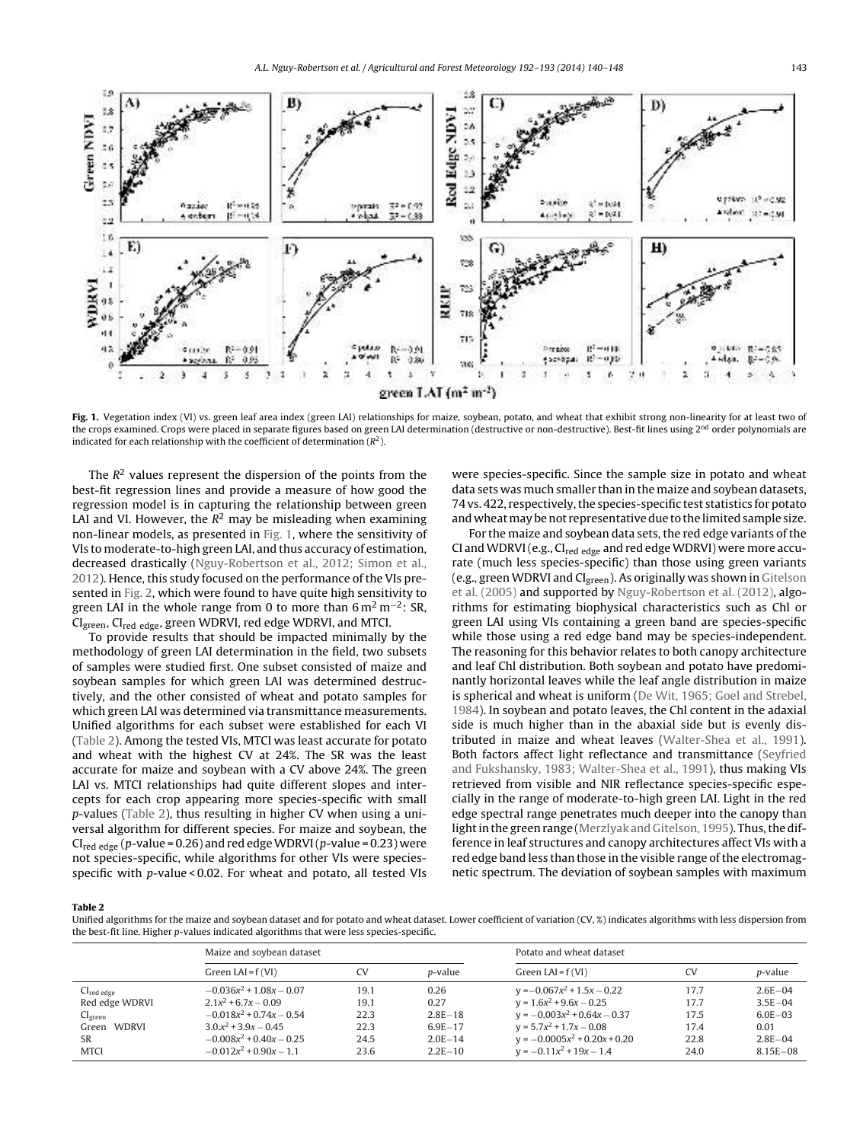<span id="page-3-0"></span>

Fig. 1. Vegetation index (VI) vs. green leaf area index (green LAI) relationships for maize, soybean, potato, and wheat that exhibit strong non-linearity for at least two of the crops examined. Crops were placed in separate figures based on green LAI determination (destructive or non-destructive). Best-fit lines using 2<sup>nd</sup> order polynomials are indicated for each relationship with the coefficient of determination ( $R^2$  ).

The  $R^2$  values represent the dispersion of the points from the best-fit regression lines and provide a measure of how good the regression model is in capturing the relationship between green LAI and VI. However, the  $R^2$  may be misleading when examining non-linear models, as presented in Fig. 1, where the sensitivity of VIs to moderate-to-high green LAI, and thus accuracy of estimation, decreased drastically [\(Nguy-Robertson](#page-8-0) et [al.,](#page-8-0) [2012;](#page-8-0) [Simon](#page-8-0) et [al.,](#page-8-0) [2012\).](#page-8-0) Hence, this study focused on the performance of the VIs presented in [Fig.](#page-4-0) 2, which were found to have quite high sensitivity to green LAI in the whole range from 0 to more than  $6 \,\mathrm{m}^2 \,\mathrm{m}^{-2}$ : SR, CI<sub>green</sub>, CI<sub>red edge</sub>, green WDRVI, red edge WDRVI, and MTCI.

To provide results that should be impacted minimally by the methodology of green LAI determination in the field, two subsets of samples were studied first. One subset consisted of maize and soybean samples for which green LAI was determined destructively, and the other consisted of wheat and potato samples for which green LAI was determined via transmittance measurements. Unified algorithms for each subset were established for each VI (Table 2). Among the tested VIs, MTCI was least accurate for potato and wheat with the highest CV at 24%. The SR was the least accurate for maize and soybean with a CV above 24%. The green LAI vs. MTCI relationships had quite different slopes and intercepts for each crop appearing more species-specific with small p-values (Table 2), thus resulting in higher CV when using a universal algorithm for different species. For maize and soybean, the CI<sub>red edge</sub> (p-value = 0.26) and red edge WDRVI (p-value = 0.23) were not species-specific, while algorithms for other VIs were speciesspecific with p-value < 0.02. For wheat and potato, all tested VIs

were species-specific. Since the sample size in potato and wheat data sets was much smaller than in the maize and soybean datasets, 74 vs. 422, respectively,the species-specific test statistics for potato and wheat may be not representative due to the limited sample size.

For the maize and soybean data sets, the red edge variants of the CI and WDRVI (e.g., CI<sub>red edge</sub> and red edge WDRVI) were more accurate (much less species-specific) than those using green variants (e.g., green WDRVI and CI<sub>green</sub>). As originally was shown in [Gitelson](#page-8-0) et [al.](#page-8-0) [\(2005\)](#page-8-0) and supported by [Nguy-Robertson](#page-8-0) et [al.](#page-8-0) [\(2012\),](#page-8-0) algorithms for estimating biophysical characteristics such as Chl or green LAI using VIs containing a green band are species-specific while those using a red edge band may be species-independent. The reasoning for this behavior relates to both canopy architecture and leaf Chl distribution. Both soybean and potato have predominantly horizontal leaves while the leaf angle distribution in maize is spherical and wheat is uniform [\(De](#page-7-0) [Wit,](#page-7-0) [1965;](#page-7-0) [Goel](#page-7-0) [and](#page-7-0) [Strebel,](#page-7-0) [1984\).](#page-7-0) In soybean and potato leaves, the Chl content in the adaxial side is much higher than in the abaxial side but is evenly distributed in maize and wheat leaves [\(Walter-Shea](#page-8-0) et [al.,](#page-8-0) [1991\).](#page-8-0) Both factors affect light reflectance and transmittance ([Seyfried](#page-8-0) [and](#page-8-0) [Fukshansky,](#page-8-0) [1983;](#page-8-0) [Walter-Shea](#page-8-0) et [al.,](#page-8-0) [1991\),](#page-8-0) thus making VIs retrieved from visible and NIR reflectance species-specific especially in the range of moderate-to-high green LAI. Light in the red edge spectral range penetrates much deeper into the canopy than light in the green range [\(Merzlyak](#page-8-0) [and](#page-8-0) [Gitelson,](#page-8-0) [1995\).](#page-8-0) Thus, the difference in leaf structures and canopy architectures affect VIs with a red edge band less than those in the visible range of the electromagnetic spectrum. The deviation of soybean samples with maximum

Table 2

Unified algorithms for the maize and soybean dataset and for potato and wheat dataset. Lower coefficient of variation (CV, %) indicates algorithms with less dispersion from the best-fit line. Higher p-values indicated algorithms that were less species-specific.

|                     | Maize and soybean dataset    |           | Potato and wheat dataset |                                 |           |             |
|---------------------|------------------------------|-----------|--------------------------|---------------------------------|-----------|-------------|
|                     | Green $LAI = f (VI)$         | <b>CV</b> | <i>p</i> -value          | Green LAI = $f(VI)$             | <b>CV</b> | p-value     |
| $CI_{red, edge}$    | $-0.036x^{2} + 1.08x - 0.07$ | 19.1      | 0.26                     | $y = -0.067x^2 + 1.5x - 0.22$   | 17.7      | $2.6E - 04$ |
| Red edge WDRVI      | $2.1x^2 + 6.7x - 0.09$       | 19.1      | 0.27                     | $v = 1.6x^2 + 9.6x - 0.25$      | 17.7      | $3.5E - 04$ |
| CI <sub>green</sub> | $-0.018x^{2} + 0.74x - 0.54$ | 22.3      | $2.8E - 18$              | $y = -0.003x^2 + 0.64x - 0.37$  | 17.5      | $6.0E - 03$ |
| WDRVI<br>Green      | $3.0 \times^2 3.9x - 0.45$   | 22.3      | $6.9E - 17$              | $v = 5.7x^2 + 1.7x - 0.08$      | 17.4      | 0.01        |
| <b>SR</b>           | $-0.008x^{2} + 0.40x - 0.25$ | 24.5      | $2.0E - 14$              | $y = -0.0005x^2 + 0.20x + 0.20$ | 22.8      | $2.8E - 04$ |
| <b>MTCI</b>         | $-0.012x^2 + 0.90x - 1.1$    | 23.6      | $2.2E - 10$              | $y = -0.11x^2 + 19x - 1.4$      | 24.0      | 8.15E-08    |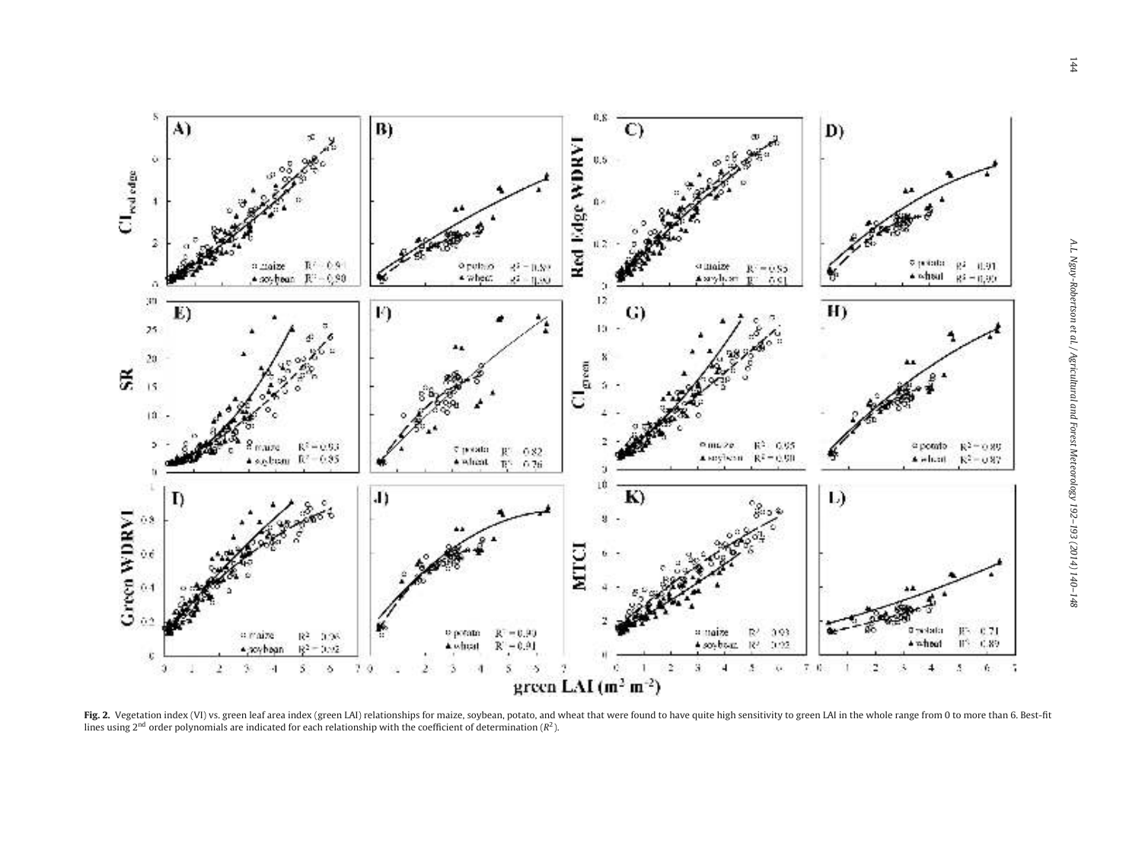<span id="page-4-0"></span>

Fig. 2. Vegetation index (VI) vs. green leaf area index (green LAI) relationships for maize, soybean, potato, and wheat that were found to have quite high sensitivity to green LAI in the whole range from 0 to more than 6. lines using 2<sup>nd</sup> order polynomials are indicated for each relationship with the coefficient of determination ( $\mathbb{R}^2$ ).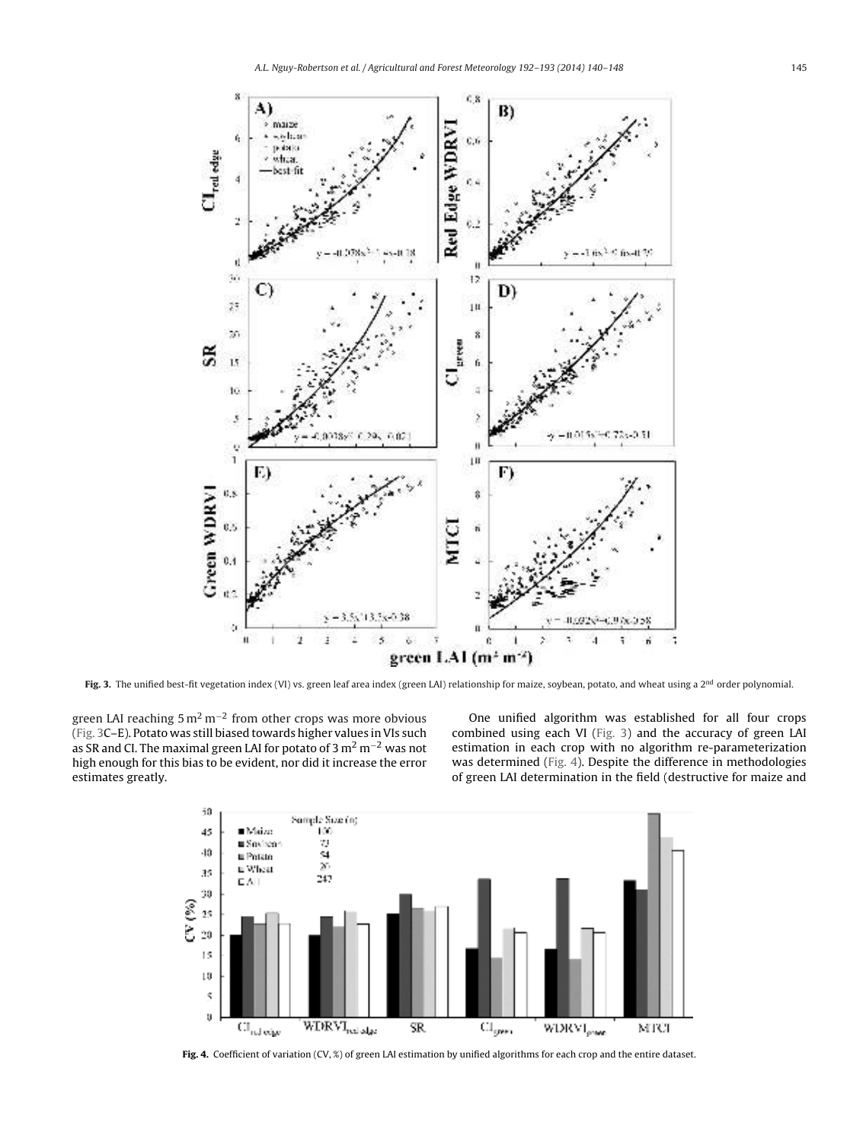<span id="page-5-0"></span>

**Fig. 3.** The unified best-fit vegetation index (VI) vs. green leaf area index (green LAI) relationship for maize, soybean, potato, and wheat using a 2<sup>nd</sup> order polynomial.

green LAI reaching 5 m<sup>2</sup> m<sup>-2</sup> from other crops was more obvious (Fig. 3C–E). Potato was still biased towards higher values in VIs such as SR and CI. The maximal green LAI for potato of 3 m<sup>2</sup> m<sup>-2</sup> was not high enough for this bias to be evident, nor did it increase the error estimates greatly.

One unified algorithm was established for all four crops combined using each VI (Fig. 3) and the accuracy of green LAI estimation in each crop with no algorithm re-parameterization was determined (Fig. 4). Despite the difference in methodologies of green LAI determination in the field (destructive for maize and



Fig. 4. Coefficient of variation (CV, %) of green LAI estimation by unified algorithms for each crop and the entire dataset.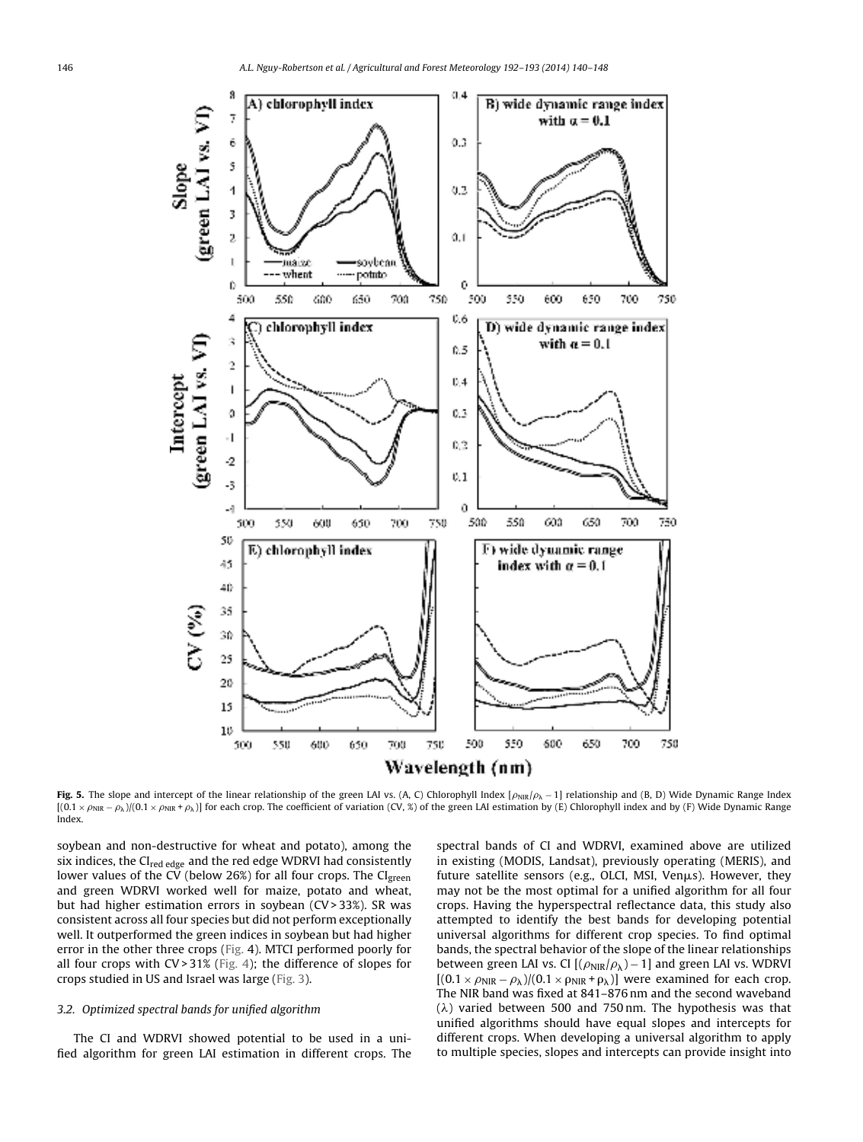<span id="page-6-0"></span>

**Fig. 5.** The slope and intercept of the linear relationship of the green LAI vs. (A, C) Chlorophyll Index  $[\rho_{NIR}/\rho_A - 1]$  relationship and (B, D) Wide Dynamic Range Index  $[(0.1 \times \rho_{NIR} - \rho_{\lambda})/(0.1 \times \rho_{NIR} + \rho_{\lambda})]$  for each crop. The coefficient of variation (CV, %) of the green LAI estimation by (E) Chlorophyll index and by (F) Wide Dynamic Range Index.

soybean and non-destructive for wheat and potato), among the six indices, the CI<sub>red edge</sub> and the red edge WDRVI had consistently lower values of the CV (below 26%) for all four crops. The CI $_{\text{green}}$ and green WDRVI worked well for maize, potato and wheat, but had higher estimation errors in soybean (CV> 33%). SR was consistent across all four species but did not perform exceptionally well. It outperformed the green indices in soybean but had higher error in the other three crops [\(Fig.](#page-5-0) 4). MTCI performed poorly for all four crops with  $CV > 31%$  [\(Fig.](#page-5-0) 4); the difference of slopes for crops studied in US and Israel was large ([Fig.](#page-5-0) 3).

# 3.2. Optimized spectral bands for unified algorithm

The CI and WDRVI showed potential to be used in a unified algorithm for green LAI estimation in different crops. The

spectral bands of CI and WDRVI, examined above are utilized in existing (MODIS, Landsat), previously operating (MERIS), and future satellite sensors (e.g., OLCI, MSI, Ven $\mu$ s). However, they may not be the most optimal for a unified algorithm for all four crops. Having the hyperspectral reflectance data, this study also attempted to identify the best bands for developing potential universal algorithms for different crop species. To find optimal bands, the spectral behavior of the slope of the linear relationships between green LAI vs. CI  $[(\rho_{NIR}/\rho_{\lambda})-1]$  and green LAI vs. WDRVI  $[(0.1 \times \rho_{NIR} - \rho_{\lambda})/(0.1 \times \rho_{NIR} + \rho_{\lambda})]$  were examined for each crop. The NIR band was fixed at 841–876 nm and the second waveband  $(\lambda)$  varied between 500 and 750 nm. The hypothesis was that unified algorithms should have equal slopes and intercepts for different crops. When developing a universal algorithm to apply to multiple species, slopes and intercepts can provide insight into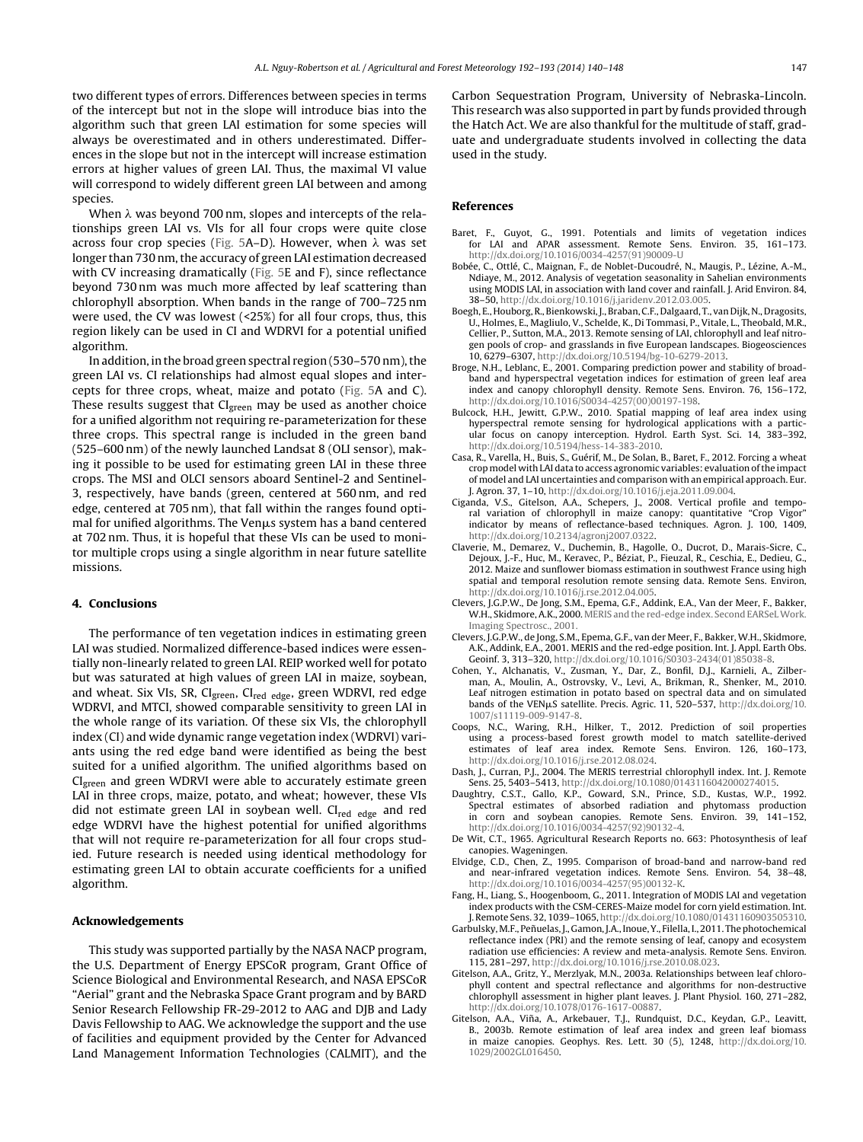<span id="page-7-0"></span>two different types of errors. Differences between species in terms of the intercept but not in the slope will introduce bias into the algorithm such that green LAI estimation for some species will always be overestimated and in others underestimated. Differences in the slope but not in the intercept will increase estimation errors at higher values of green LAI. Thus, the maximal VI value will correspond to widely different green LAI between and among species.

When  $\lambda$  was beyond 700 nm, slopes and intercepts of the relationships green LAI vs. VIs for all four crops were quite close across four crop species [\(Fig.](#page-6-0) 5A–D). However, when  $\lambda$  was set longer than 730 nm, the accuracy of green LAI estimation decreased with CV increasing dramatically ([Fig.](#page-6-0) 5E and F), since reflectance beyond 730 nm was much more affected by leaf scattering than chlorophyll absorption. When bands in the range of 700–725 nm were used, the CV was lowest (<25%) for all four crops, thus, this region likely can be used in CI and WDRVI for a potential unified algorithm.

In addition, in the broad green spectral region (530-570 nm), the green LAI vs. CI relationships had almost equal slopes and intercepts for three crops, wheat, maize and potato ([Fig.](#page-6-0) 5A and C). These results suggest that CI<sub>green</sub> may be used as another choice for a unified algorithm not requiring re-parameterization for these three crops. This spectral range is included in the green band (525–600 nm) of the newly launched Landsat 8 (OLI sensor), making it possible to be used for estimating green LAI in these three crops. The MSI and OLCI sensors aboard Sentinel-2 and Sentinel-3, respectively, have bands (green, centered at 560 nm, and red edge, centered at 705 nm), that fall within the ranges found optimal for unified algorithms. The Venµs system has a band centered at 702 nm. Thus, it is hopeful that these VIs can be used to monitor multiple crops using a single algorithm in near future satellite missions.

## 4. Conclusions

The performance of ten vegetation indices in estimating green LAI was studied. Normalized difference-based indices were essentially non-linearly related to green LAI. REIP worked well for potato but was saturated at high values of green LAI in maize, soybean, and wheat. Six VIs, SR, CI<sub>green</sub>, CI<sub>red edge</sub>, green WDRVI, red edge WDRVI, and MTCI, showed comparable sensitivity to green LAI in the whole range of its variation. Of these six VIs, the chlorophyll index (CI) and wide dynamic range vegetation index (WDRVI) variants using the red edge band were identified as being the best suited for a unified algorithm. The unified algorithms based on CIgreen and green WDRVI were able to accurately estimate green LAI in three crops, maize, potato, and wheat; however, these VIs did not estimate green LAI in soybean well. CI<sub>red edge</sub> and red edge WDRVI have the highest potential for unified algorithms that will not require re-parameterization for all four crops studied. Future research is needed using identical methodology for estimating green LAI to obtain accurate coefficients for a unified algorithm.

## Acknowledgements

This study was supported partially by the NASA NACP program, the U.S. Department of Energy EPSCoR program, Grant Office of Science Biological and Environmental Research, and NASA EPSCoR "Aerial" grant and the Nebraska Space Grant program and by BARD Senior Research Fellowship FR-29-2012 to AAG and DJB and Lady Davis Fellowship to AAG. We acknowledge the support and the use of facilities and equipment provided by the Center for Advanced Land Management Information Technologies (CALMIT), and the Carbon Sequestration Program, University of Nebraska-Lincoln. This research was also supported in part by funds provided through the Hatch Act. We are also thankful for the multitude of staff, graduate and undergraduate students involved in collecting the data used in the study.

#### References

- Baret, F., Guyot, G., 1991. Potentials and limits of vegetation indices for LAI and APAR assessment. Remote Sens. Environ. 35, 161–173. [http://dx.doi.org/10.1016/0034-4257\(91\)90009-U](http://dx.doi.org/10.1016/0034-4257(91)90009-U)
- Bobée, C., Ottlé, C., Maignan, F., de Noblet-Ducoudré, N., Maugis, P., Lézine, A.-M., Ndiaye, M., 2012. Analysis of vegetation seasonality in Sahelian environments using MODIS LAI, in association with land cover and rainfall. J. Arid Environ. 84, 38–50, [http://dx.doi.org/10.1016/j.jaridenv.2012.03.005](dx.doi.org/10.1016/j.jaridenv.2012.03.005).
- Boegh, E., Houborg,R.,Bienkowski,J.,Braban, C.F., Dalgaard, T., van Dijk, N., Dragosits, U., Holmes, E., Magliulo, V., Schelde, K., Di Tommasi, P., Vitale, L., Theobald, M.R., Cellier, P., Sutton, M.A., 2013. Remote sensing of LAI, chlorophyll and leaf nitrogen pools of crop- and grasslands in five European landscapes. Biogeosciences 10, 6279–6307, [http://dx.doi.org/10.5194/bg-10-6279-2013](dx.doi.org/10.5194/bg-10-6279-2013).
- Broge, N.H., Leblanc, E., 2001. Comparing prediction power and stability of broadband and hyperspectral vegetation indices for estimation of green leaf area index and canopy chlorophyll density. Remote Sens. Environ. 76, 156–172, [http://dx.doi.org/10.1016/S0034-4257\(00\)00197-198.](dx.doi.org/10.1016/S0034-4257(00)00197-198)
- Bulcock, H.H., Jewitt, G.P.W., 2010. Spatial mapping of leaf area index using hyperspectral remote sensing for hydrological applications with a particular focus on canopy interception. Hydrol. Earth Syst. Sci. 14, 383–392, [http://dx.doi.org/10.5194/hess-14-383-2010.](dx.doi.org/10.5194/hess-14-383-2010)
- Casa, R., Varella, H., Buis, S., Guérif, M., De Solan, B., Baret, F., 2012. Forcing a wheat crop model with LAI data to access agronomic variables: evaluation ofthe impact of model and LAI uncertainties and comparison with an empirical approach. Eur. J. Agron. 37, 1–10, [http://dx.doi.org/10.1016/j.eja.2011.09.004.](dx.doi.org/10.1016/j.eja.2011.09.004)
- Ciganda, V.S., Gitelson, A.A., Schepers, J., 2008. Vertical profile and temporal variation of chlorophyll in maize canopy: quantitative "Crop Vigor" indicator by means of reflectance-based techniques. Agron. J. 100, 1409, [http://dx.doi.org/10.2134/agronj2007.0322.](dx.doi.org/10.2134/agronj2007.0322)
- Claverie, M., Demarez, V., Duchemin, B., Hagolle, O., Ducrot, D., Marais-Sicre, C., Dejoux, J.-F., Huc, M., Keravec, P., Béziat, P., Fieuzal, R., Ceschia, E., Dedieu, G., 2012. Maize and sunflower biomass estimation in southwest France using high spatial and temporal resolution remote sensing data. Remote Sens. Environ, [http://dx.doi.org/10.1016/j.rse.2012.04.005.](dx.doi.org/10.1016/j.rse.2012.04.005)
- Clevers, J.G.P.W., De Jong, S.M., Epema, G.F., Addink, E.A., Van der Meer, F., Bakker, W.H., Skidmore, A.K., 2000. MERIS and the red-edge index. Second EARSeLWork. Imaging Spectrosc., 2001.
- Clevers, J.G.P.W., de Jong, S.M., Epema, G.F., van der Meer, F., Bakker, W.H., Skidmore, A.K., Addink, E.A., 2001. MERIS and the red-edge position. Int. J. Appl. Earth Obs. Geoinf. 3, 313–320, [http://dx.doi.org/10.1016/S0303-2434\(01\)85038-8](dx.doi.org/10.1016/S0303-2434(01)85038-8).
- Cohen, Y., Alchanatis, V., Zusman, Y., Dar, Z., Bonfil, D.J., Karnieli, A., Zilberman, A., Moulin, A., Ostrovsky, V., Levi, A., Brikman, R., Shenker, M., 2010. Leaf nitrogen estimation in potato based on spectral data and on simulated bands of the VEN $\mu$ S satellite. Precis. Agric. 11, 520–537, [http://dx.doi.org/10.](dx.doi.org/10.1007/s11119-009-9147-8) [1007/s11119-009-9147-8.](dx.doi.org/10.1007/s11119-009-9147-8)
- Coops, N.C., Waring, R.H., Hilker, T., 2012. Prediction of soil properties using a process-based forest growth model to match satellite-derived estimates of leaf area index. Remote Sens. Environ. 126, 160–173, [http://dx.doi.org/10.1016/j.rse.2012.08.024.](dx.doi.org/10.1016/j.rse.2012.08.024)
- Dash, J., Curran, P.J., 2004. The MERIS terrestrial chlorophyll index. Int. J. Remote Sens. 25, 5403–5413, [http://dx.doi.org/10.1080/0143116042000274015](dx.doi.org/10.1080/0143116042000274015).
- Daughtry, C.S.T., Gallo, K.P., Goward, S.N., Prince, S.D., Kustas, W.P., 1992. Spectral estimates of absorbed radiation and phytomass production in corn and soybean canopies. Remote Sens. Environ. 39, 141–152, [http://dx.doi.org/10.1016/0034-4257\(92\)90132-4.](dx.doi.org/10.1016/0034-4257(92)90132-4)
- De Wit, C.T., 1965. Agricultural Research Reports no. 663: Photosynthesis of leaf canopies. Wageningen.
- Elvidge, C.D., Chen, Z., 1995. Comparison of broad-band and narrow-band red and near-infrared vegetation indices. Remote Sens. Environ. 54, 38–48, [http://dx.doi.org/10.1016/0034-4257\(95\)00132-K](dx.doi.org/10.1016/0034-4257(95)00132-K).
- Fang, H., Liang, S., Hoogenboom, G., 2011. Integration of MODIS LAI and vegetation index products with the CSM-CERES-Maize model for corn yield estimation. Int. J. Remote Sens. 32, 1039–1065, [http://dx.doi.org/10.1080/01431160903505310](dx.doi.org/10.1080/01431160903505310).
- Garbulsky, M.F., Peñuelas, J., Gamon, J.A., Inoue, Y., Filella, I., 2011. The photochemical reflectance index (PRI) and the remote sensing of leaf, canopy and ecosystem radiation use efficiencies: A review and meta-analysis. Remote Sens. Environ. 115, 281–297, [http://dx.doi.org/10.1016/j.rse.2010.08.023.](dx.doi.org/10.1016/j.rse.2010.08.023)
- Gitelson, A.A., Gritz, Y., Merzlyak, M.N., 2003a. Relationships between leaf chlorophyll content and spectral reflectance and algorithms for non-destructive chlorophyll assessment in higher plant leaves. J. Plant Physiol. 160, 271–282, [http://dx.doi.org/10.1078/0176-1617-00887](dx.doi.org/10.1078/0176-1617-00887).
- Gitelson, A.A., Viña, A., Arkebauer, T.J., Rundquist, D.C., Keydan, G.P., Leavitt, B., 2003b. Remote estimation of leaf area index and green leaf biomass in maize canopies. Geophys. Res. Lett. 30 (5), 1248, [http://dx.doi.org/10.](dx.doi.org/10.1029/2002GL016450) [1029/2002GL016450](dx.doi.org/10.1029/2002GL016450).